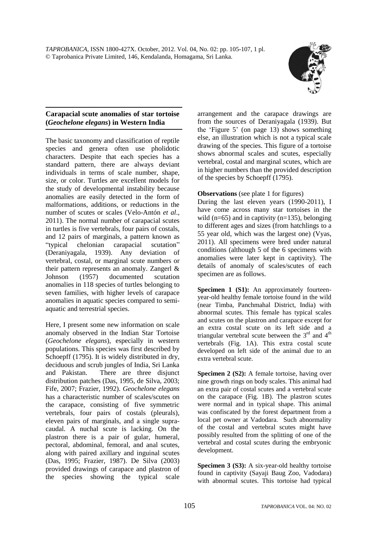

## **Carapacial scute anomalies of star tortoise (***Geochelone elegans***) in Western India**

The basic taxonomy and classification of reptile species and genera often use pholidotic characters. Despite that each species has a standard pattern, there are always deviant individuals in terms of scale number, shape, size, or color. Turtles are excellent models for the study of developmental instability because anomalies are easily detected in the form of malformations, additions, or reductions in the number of scutes or scales (Velo-Antón *et al*., 2011). The normal number of carapacial scutes in turtles is five vertebrals, four pairs of costals, and 12 pairs of marginals, a pattern known as "typical chelonian carapacial scutation" (Deraniyagala, 1939). Any deviation of vertebral, costal, or marginal scute numbers or their pattern represents an anomaly. Zangerl & Johnson (1957) documented scutation anomalies in 118 species of turtles belonging to seven families, with higher levels of carapace anomalies in aquatic species compared to semiaquatic and terrestrial species.

Here, I present some new information on scale anomaly observed in the Indian Star Tortoise (*Geochelone elegans*), especially in western populations*.* This species was first described by Schoepff (1795). It is widely distributed in dry, deciduous and scrub jungles of India, Sri Lanka and Pakistan. There are three disjunct distribution patches (Das, 1995, de Silva, 2003; Fife, 2007; Frazier, 1992). *Geochelone elegans* has a characteristic number of scales/scutes on the carapace, consisting of five symmetric vertebrals, four pairs of costals (pleurals), eleven pairs of marginals, and a single supracaudal. A nuchal scute is lacking. On the plastron there is a pair of gular, humeral, pectoral, abdominal, femoral, and anal scutes, along with paired axillary and inguinal scutes (Das, 1995; Frazier, 1987). De Silva (2003) provided drawings of carapace and plastron of the species showing the typical scale arrangement and the carapace drawings are from the sources of Deraniyagala (1939). But the 'Figure 5' (on page 13) shows something else, an illustration which is not a typical scale drawing of the species. This figure of a tortoise shows abnormal scales and scutes, especially vertebral, costal and marginal scutes, which are in higher numbers than the provided description of the species by Schoepff (1795).

### **Observations** (see plate 1 for figures)

During the last eleven years (1990-2011), I have come across many star tortoises in the wild ( $n=65$ ) and in captivity ( $n=135$ ), belonging to different ages and sizes (from hatchlings to a 55 year old, which was the largest one) (Vyas, 2011). All specimens were bred under natural conditions (although 5 of the 6 specimens with anomalies were later kept in captivity). The details of anomaly of scales/scutes of each specimen are as follows.

**Specimen 1 (S1):** An approximately fourteenyear-old healthy female tortoise found in the wild (near Timba, Panchmahal District, India) with abnormal scutes. This female has typical scales and scutes on the plastron and carapace except for an extra costal scute on its left side and a triangular vertebral scute between the  $3<sup>rd</sup>$  and  $4<sup>th</sup>$ vertebrals (Fig. 1A). This extra costal scute developed on left side of the animal due to an extra vertebral scute.

**Specimen 2 (S2):** A female tortoise, having over nine growth rings on body scales. This animal had an extra pair of costal scutes and a vertebral scute on the carapace (Fig. 1B). The plastron scutes were normal and in typical shape. This animal was confiscated by the forest department from a local pet owner at Vadodara. Such abnormality of the costal and vertebral scutes might have possibly resulted from the splitting of one of the vertebral and costal scutes during the embryonic development.

**Specimen 3 (S3):** A six-year-old healthy tortoise found in captivity (Sayaji Baug Zoo, Vadodara) with abnormal scutes. This tortoise had typical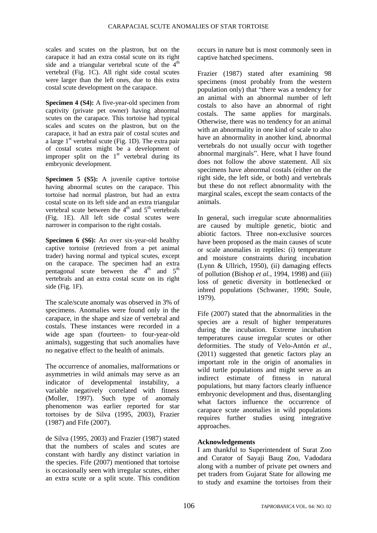scales and scutes on the plastron, but on the carapace it had an extra costal scute on its right side and a triangular vertebral scute of the  $4<sup>th</sup>$ vertebral (Fig. 1C). All right side costal scutes were larger than the left ones, due to this extra costal scute development on the carapace.

**Specimen 4 (S4):** A five-year-old specimen from captivity (private pet owner) having abnormal scutes on the carapace. This tortoise had typical scales and scutes on the plastron, but on the carapace, it had an extra pair of costal scutes and a large  $1<sup>st</sup>$  vertebral scute (Fig. 1D). The extra pair of costal scutes might be a development of improper split on the  $1<sup>st</sup>$  vertebral during its embryonic development.

**Specimen 5 (S5):** A juvenile captive tortoise having abnormal scutes on the carapace. This tortoise had normal plastron, but had an extra costal scute on its left side and an extra triangular vertebral scute between the  $4<sup>th</sup>$  and  $5<sup>th</sup>$  vertebrals (Fig. 1E). All left side costal scutes were narrower in comparison to the right costals.

**Specimen 6 (S6):** An over six-year-old healthy captive tortoise (retrieved from a pet animal trader) having normal and typical scutes, except on the carapace. The specimen had an extra pentagonal scute between the  $4<sup>th</sup>$  and  $5<sup>th</sup>$ vertebrals and an extra costal scute on its right side (Fig. 1F).

The scale/scute anomaly was observed in 3% of specimens. Anomalies were found only in the carapace, in the shape and size of vertebral and costals. These instances were recorded in a wide age span (fourteen- to four-year-old animals), suggesting that such anomalies have no negative effect to the health of animals.

The occurrence of anomalies, malformations or asymmetries in wild animals may serve as an indicator of developmental instability, a variable negatively correlated with fitness (Moller, 1997). Such type of anomaly phenomenon was earlier reported for star tortoises by de Silva (1995, 2003), Frazier (1987) and Fife (2007).

de Silva (1995, 2003) and Frazier (1987) stated that the numbers of scales and scutes are constant with hardly any distinct variation in the species. Fife (2007) mentioned that tortoise is occasionally seen with irregular scutes, either an extra scute or a split scute. This condition occurs in nature but is most commonly seen in captive hatched specimens.

Frazier (1987) stated after examining 98 specimens (most probably from the western population only) that "there was a tendency for an animal with an abnormal number of left costals to also have an abnormal of right costals. The same applies for marginals. Otherwise, there was no tendency for an animal with an abnormality in one kind of scale to also have an abnormality in another kind, abnormal vertebrals do not usually occur with together abnormal marginals". Here, what I have found does not follow the above statement. All six specimens have abnormal costals (either on the right side, the left side, or both) and vertebrals but these do not reflect abnormality with the marginal scales, except the seam contacts of the animals.

In general, such irregular scute abnormalities are caused by multiple genetic, biotic and abiotic factors. Three non-exclusive sources have been proposed as the main causes of scute or scale anomalies in reptiles: (i) temperature and moisture constraints during incubation (Lynn & Ullrich, 1950), (ii) damaging effects of pollution (Bishop *et al.*, 1994, 1998) and (iii) loss of genetic diversity in bottlenecked or inbred populations (Schwaner, 1990; Soule, 1979).

Fife (2007) stated that the abnormalities in the species are a result of higher temperatures during the incubation. Extreme incubation temperatures cause irregular scutes or other deformities. The study of Velo-Antón *et al*., (2011) suggested that genetic factors play an important role in the origin of anomalies in wild turtle populations and might serve as an indirect estimate of fitness in natural populations, but many factors clearly influence embryonic development and thus, disentangling what factors influence the occurrence of carapace scute anomalies in wild populations requires further studies using integrative approaches.

#### **Acknowledgements**

I am thankful to Superintendent of Surat Zoo and Curator of Sayaji Baug Zoo, Vadodara along with a number of private pet owners and pet traders from Gujarat State for allowing me to study and examine the tortoises from their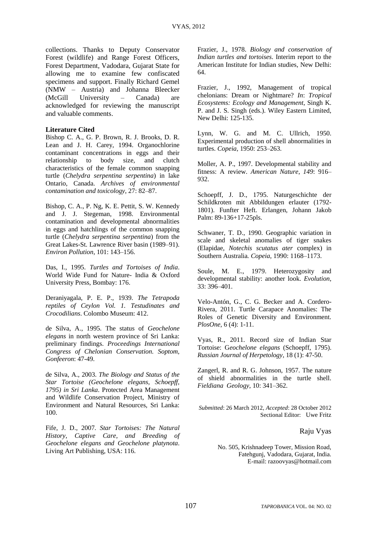collections. Thanks to Deputy Conservator Forest (wildlife) and Range Forest Officers, Forest Department, Vadodara, Gujarat State for allowing me to examine few confiscated specimens and support. Finally Richard Gemel (NMW – Austria) and Johanna Bleecker (McGill University – Canada) are acknowledged for reviewing the manuscript and valuable comments.

#### **Literature Cited**

Bishop C. A., G. P. Brown, R. J. Brooks, D. R. Lean and J. H. Carey, 1994. Organochlorine contaminant concentrations in eggs and their relationship to body size, and clutch characteristics of the female common snapping turtle (*Chelydra serpentina serpentina*) in lake Ontario, Canada. *Archives of environmental contamination and toxicology*, 27: 82–87.

Bishop, C. A., P. Ng, K. E. Pettit, S. W. Kennedy and J. J. Stegeman, 1998. Environmental contamination and developmental abnormalities in eggs and hatchlings of the common snapping turtle (*Chelydra serpentina serpentina*) from the Great Lakes-St. Lawrence River basin (1989–91). *Environ Pollution*, 101: 143–156.

Das, I., 1995. *Turtles and Tortoises of India*. World Wide Fund for Nature- India & Oxford University Press, Bombay: 176.

Deraniyagala, P. E. P., 1939. *The Tetrapoda reptiles of Ceylon Vol. 1. Testudinates and Crocodilians*. Colombo Museum: 412.

de Silva, A., 1995. The status of *Geochelone elegans* in north western province of Sri Lanka: preliminary findings. *Proceedings International Congress of Chelonian Conservation. Soptom, Gonfeeron*: 47-49.

de Silva, A., 2003. *The Biology and Status of the Star Tortoise (Geochelone elegans, Schoepff, 1795) in Sri Lanka*. Protected Area Management and Wildlife Conservation Project, Ministry of Environment and Natural Resources, Sri Lanka: 100.

Fife, J. D., 2007. *Star Tortoises: The Natural History, Captive Care, and Breeding of Geochelone elegans and Geochelone platynota*. Living Art Publishing, USA: 116.

Frazier, J., 1978. *Biology and conservation of Indian turtles and tortoises*. Interim report to the American Institute for Indian studies, New Delhi: 64.

Frazier, J., 1992, Management of tropical chelonians: Dream or Nightmare? *In*: *Tropical Ecosystems: Ecology and Management*, Singh K. P. and J. S. Singh (eds.). Wiley Eastern Limited, New Delhi: 125-135.

Lynn, W. G. and M. C. Ullrich, 1950. Experimental production of shell abnormalities in turtles. *Copeia*, 1950: 253–263.

Moller, A. P., 1997. Developmental stability and fitness: A review. *American Nature*, *149*: 916– 932.

Schoepff, J. D., 1795. Naturgeschichte der Schildkroten mit Abbildungen erlauter (1792- 1801). Funfter Heft. Erlangen, Johann Jakob Palm: 89-136+17-25pls.

Schwaner, T. D., 1990. Geographic variation in scale and skeletal anomalies of tiger snakes (Elapidae, *Notechis scutatus ater* complex) in Southern Australia*. Copeia*, 1990: 1168–1173.

Soule, M. E., 1979. Heterozygosity and developmental stability: another look. *Evolution*, 33: 396–401.

Velo-Antón, G., C. G. Becker and A. Cordero-Rivera, 2011. Turtle Carapace Anomalies: The Roles of Genetic Diversity and Environment. *PlosOne*, 6 (4): 1-11.

Vyas, R., 2011. Record size of Indian Star Tortoise: G*eochelone elegans* (Schoepff, 1795). *Russian Journal of Herpetology*, 18 (1): 47-50.

Zangerl, R. and R. G. Johnson, 1957. The nature of shield abnormalities in the turtle shell. *Fieldiana Geology*, 10: 341–362.

*Submitted*: 26 March 2012, *Accepted*: 28 October 2012 Sectional Editor: Uwe Fritz

Raju Vyas

No. 505, Krishnadeep Tower, Mission Road, Fatehgunj, Vadodara, Gujarat, India. E-mail: razoovyas@hotmail.com